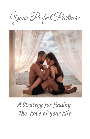Your Perfect Partner:



# A Strategy for finding The Love of your Life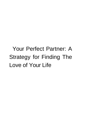Your Perfect Partner: A Strategy for Finding The Love of Your Life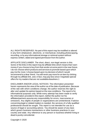ALL RIGHTS RESERVED. No part of this report may be modified or altered in any form whatsoever, electronic, or mechanical, including photocopying, recording, or by any informational storage or retrieval system without express written, dated and signed permission from the author.

AFFILIATE DISCLAIMER. The short, direct, non-legal version is this: Some of the links in this report may be affiliate links which means that I earn money if you choose to buy from that vendor at some point in the near future. I do not choose which products and services to promote based upon which pay me the most, I choose based upon my decision of which I would recommend to a dear friend. You will never pay more for an item by clicking through my affiliate link, and, in fact, may pay less since I negotiate special offers for my readers that are not available elsewhere.1

DISCLAIMER AND/OR LEGAL NOTICES: The information presented herein represents the view of the author as of the date of publication. Because of the rate with which conditions change, the author reserves the right to alter and update his opinion based on the new conditions. The report is for informational purposes only. While every attempt has been made to verify the information provided in this report, neither the author nor his affiliates/partners assume any responsibility for errors, inaccuracies or omissions. Any slights of people or organizations are unintentional. If advice concerning legal or related matters is needed, the services of a fully qualified professional should be sought. This report is not intended for use as a source of legal or accounting advice. You should be aware of any laws which govern business transactions or other business practices in your country and state. Any reference to any person or business whether living or dead is purely coincidental.

Copyright © 2020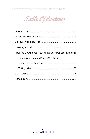

| Applying Your Resources to Find Your Perfect Partner 15 |  |
|---------------------------------------------------------|--|
| Connecting Through People You Know 15                   |  |
|                                                         |  |
|                                                         |  |
|                                                         |  |
|                                                         |  |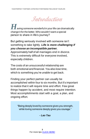

<span id="page-4-0"></span>**H**aving someone wonderful in your life can dramatically change it forthe better.Who wouldn't want a special person to share in life's journey?

But getting seriously involved with someone isn't something to take lightly. *Life is more challenging if you choose an incompatible partner.*

Approximately half of all marriages end in divorce. This is extremely difficult for everyone involved, especially children.

The costs of an unsuccessful relationship are both emotional and financial. You also lose time, which is something you're unable to get back.

Finding your perfect partner can usually be accomplished within four to six months. But it's important to realize that it will require time and effort. Few great things happen by accident, and most require intention. Most accomplishments start with a goal, a plan, and ongoing effort.

"Being deeply loved by someone gives you strength, while loving someone deeply gives you courage."

*- Lao Tau*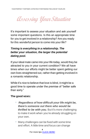<span id="page-5-0"></span>

It's important to assess your situation and ask yourself some important questions. Is this an appropriate time for you to get involved in a relationship? Are you ready for this wonderful person to come into your life?

#### *Timing is everything in a relationship. The better your situation, the larger the potential dating pool.*

If your ideal mate came into your life today, would they be attracted to you in your current condition? We all have times when our efforts might be better spent getting our own lives straightened out, rather than getting involved in a romantic relationship.

While it's nice to believe that love is blind, it might be a good time to operate under the premise of "better safe than sorry."

#### **The good NEWS:**

- ❖ *Regardless of how difficult your life might be, there's someone out there who would be thrilled to be with you.* But it's more challenging to make it work when you're already struggling on your own.
- ❖ Many challenges can be fixed with some time and effort. A little time and focus can change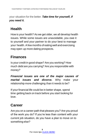your situation for the better. *Take time for yourself, if you need it.*

# **Health**

How is your health? As we get older, we all develop health issues. While some issues are unavoidable, you owe it to yourself and your partner to do your best to manage your health. Afew months of eating well and exercising may open up more dating prospects.

# **Finances**

Is your credit in good shape? Are you working? How much debt are you carrying? Are you responsible with money?

*Financial issues are one of the major causes of marital issues and divorce.* Why make your relationship more challenging than it needs to be?

If your financial life could be in better shape, spend time getting back on track before you start looking for love.

# **Career**

Are you on a career path that pleases you? Are you proud of the work you do? If you're less than content with your current job situation, do you have a plan to move on to something else?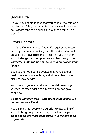# **Social Life**

Do you have some friends that you spend time with on a regular basis? Is your social life what you would like it to be? Others tend to be suspicious of those without any close friends.

## **Other Factors**

It isn't as if every aspect of your life requires perfection before you can start looking for a life partner. One of the great parts of having a companion is that you can share your challenges and support one another through them. *Your ideal mate will be someone who embraces your "flaws."*

But if you're 100 pounds overweight, have several health concerns, are jobless, and without friends, the pickings may be slim.

You owe it to yourself and your potential mate to get yourself together. A little self-improvement can go a long way.

#### *If you're unhappy, you'll tend to repel those that are content in their lives!*

Keep in mind that people are surprisingly accepting of your challenges if you're working on making things better. *Most people are more concerned with the direction of your life*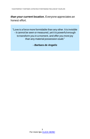#### *than your current location.* Everyone appreciates an honest effort.

"Love is a force more formidable than any other. It is invisible - it cannot be seen or measured, yet it is powerful enough to transform you in a moment, and offer you more joy than any material possession could."

*- Barbara de Angelis*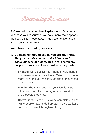<span id="page-9-0"></span>

Before making any life-changing decisions, it's important to assess your resources. You have many more options than you think! These days, it has become even easier to find your perfectmate.

#### **Your three main dating RESOURCES:**

- 1. **Connecting through people you already know.** *Many of us date and marry the friends and acquaintances of others.* Think about how many people you know and interact with on a daily basis.
	- ❖ **Friends:** Consider all your friends. Now ponder how many friends they have. Take it down one more level and you're easily looking at thousands of individuals.
	- ❖ **Family:** The same goes for your family. Take into account all of your family members and all of the people theyknow.
	- ❖ **Co-workers:** Few of us work completely alone. Many people have ended up dating a co-worker or someone they met through a colleague.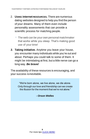- 2. **USING internet RESOURCES.** There are numerous dating websites designed to help you find the person of your dreams. Many of them even include personality assessments that can provide a scientific process for matching people.
	- ❖ The web can be your own personal matchmaker that works while you sleep. That's making good use of your time!
- *3.* **Taking initiative.** Anytime you leave your house, you encounter many individuals while you're out and about. Perhaps you could talk to some of them. It might be intimidating at first, but a little nerve can go a long way. *Be brave!*

The availability of these resources is encouraging, and your success isinevitable.

> "We're born alone, we live alone, we die alone. Only through our love and friendship can we create the illusion for the moment that we're not alone."

> > *- Orson Welles*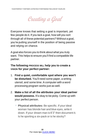

<span id="page-11-0"></span>Everyone knows that setting a goal is important, yet few people do it. If you lack a goal, how will you sort through all of these potential partners? Without a goal, you're putting yourself in the position of being passive and relying on chance.

A goal also forces you to think about what you truly want. This helps to ensure you'll find a compatible life partner.

#### **The following PROCESS WILL help you to create a VISION for your perfect partner:**

- 1. **Find a quiet, comfortable spot where you won't be disturbed.** You'll need some paper, a writing utensil, and some time. A computer with a word processing program works just as well.
- 2. **Make a list of all the attributes your ideal partner would possess.** It's okay to be picky. Come up with your perfect person.
	- ❖ **Physical attributes:** Be specific. If your ideal woman has blonde hair and blue eyes, write it down. If your dream man is 6'3" then document it. Is he sporting a six-pack or is he stocky?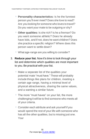- ❖ **Personality characteristics:** Is he the funniest person you'll ever meet? Does she love to read? Are you looking for someone who loves to travel? Do you want your mate to be outgoing or shy?
- ❖ **Other qualities:** Is she rich? Is he a fireman? Do you want someone athletic? Does he already have kids, and if not, does he want children? Does she practice a specific religion? Where does this person want to settle down?
- ❖ What age-range are you willing to consider?
- 3. **Reduce your list.** Now it's time to look through your list and determine which qualities are most important to you. Be practical with your list.
	- ❖ Make a separate list of the qualities your potential mate "must have." These will probably include things like plans for children, meeting a certain age range, having a minimal level of physical attractiveness, sharing the same values, and a wanting a similar future.
	- ❖ The more "must haves" on your list, the more challenging it will be to find someone who meets all of your criteria.
	- ❖ Consider each attribute and ask yourself if you would spend the rest of your life with someone who has all the other qualities, but is missing just one. Your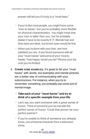answer will tell you if it truly is a "must have."

- ❖ If you're like most people, you might have some "nice to haves," but you're probably more flexible on physical characteristics. You might insist that your man is taller than you, but he probably doesn't have to be exactly 6' 3".Blonde hair and blue eyes are ideal, but brown eyes would be fine.
- ❖ When you're done with your lists, see how satisfied you are. If you found someone with all your "must haves" and some of your"nice to haves," how happy would you be? Revise your list until you're thrilled!
- 4. **Create SOME eXAMPLES.** It's great to list your "must haves" with words, but examples and mental pictures are a better way of communicating with your subconscious. For instance, when you try to remember something, you probably use some sort of mental image.

#### ❖ *Take each of your "must haves" and try to think of a specific example from yourlife.*

- ❖ Let's say you want someone with a great sense of humor.Think of someone you've met with the perfect sense of humor. Could that person be your perfect partner?
- ❖ If you're unable to think of someone you already know, use a fictional character from a television show,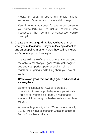movie, or book. If you're still stuck, invent someone. It's important to have a vivid image!

- ❖ Keep in mind that it doesn't have to be someone you particularly like. It's just an individual who possesses that certain characteristic you're looking for.
- 5. **Create the actual goal.** So far, you have a list of what you're looking for. But you're lacking a deadline and an endpoint. In other words, how will you know you've accomplished yourgoal?
	- ❖ Create an image of your endpoint that represents the achievement of your goal. You might imagine you and your perfect partner cooking dinner together, laughing, and talking about your day at work.
	- ❖ *Write down your relationship goal and keep it in a safe place.*
	- ❖ Determine a deadline. A week is probably unrealistic. A year is probably overly pessimistic. Three to six months is probably a reasonable amount of time, but go with what feels appropriate for you.
	- ❖ An example goal might be: "On or before July 1, 2014, I will be in a relationship with a person that fits my 'must have' criteria."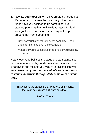- 6. **Review your goal daily.** You've created a target, but it's important to review that goal daily. How many times have you decided to do something, but stopped pursuing that goal 10 days later? Reviewing your goal for a few minutes each day will help prevent that from happening.
	- ❖ Review your list of "must haves" each day. Read each item and go over the examples.
	- ❖ Visualize your successful endpoint, so you can stay on target.

Nearly everyone belittles the value of goal-setting. Your mind is inundated with your desires. One minute you want a sandwich and the next you want to take a nap. It never ends! *How can your mind tell what's truly important to you? One way is through daily reminders of your goal.*

"I have found the paradox, that if you love until it hurts, there can be no more hurt, only more love."

*- Mother Teresa*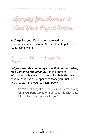<span id="page-16-0"></span>**Applying Your Resources to Find Your PerfectPartner**

You've pulled your life together, reviewed your resources, and have a goal. Now it's time to put those resources to work!

### <span id="page-16-1"></span>**Connecting Through People You Know**

*Let your friends and family know that you're looking for a romantic relationship.* Sharing personal information with your co-workers will probably be on a case-by case basis. Be open with those you trust, but avoid jeopardizing your position atwork.

❖ Consider sharing the list of qualities you're looking for in your perfect partner. Someone might just say, "I know the perfect person for you!"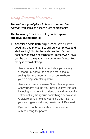# <span id="page-17-0"></span>**Using Internet Resources**

*The web is a great place to find a potential life partner.* You can also access great search tools!

#### **The following STEPS WILL help you SET up an effective dating profile:**

- 1. **ASSEMBLE SOME flattering PHOTOS.** We all have good and bad photos. So, pull out your photos and start sorting! Studies have shown that it's best to post between five and ten photos.Toofew won't give you the opportunity to show your many facets. Too many is overwhelming.
	- ❖ Use a variety of photos. Include a picture of you dressed-up, as well as one in a more casual setting. It's also important to post one where you're doing something active.
	- ❖ Use some common sense. Steer clear of photos with your arm around your previous love interest. Including a photo with a friend that's dramatically better looking than you is something else to avoid. A picture of you holding your little dog, like it's your surrogate child, may be a turn-off. Be smart.
	- ❖ If you're in doubt, ask a friend to assist you with selecting the photos.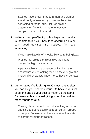- ❖ Studies have shown that both men and women are strongly influenced by photographs while searching personal ads. Pictures are the determining factor for whether or not your complete profile will be read.
- 2. **Write a great profile.** Lying is a big no-no, but this is the time to put your best foot forward. Focus on your good qualities. Be positive, fun, and interesting.
	- ❖ If you make it too brief, it looks like you're being lazy.
	- ❖ Profiles that are too long can give the image that you're highmaintenance.
	- ❖ A paragraph or two about yourself and another about what you're looking for is plenty. Just give the basics. If they want to know more, they can contact you!
- 3. **LIST what you're looking for.** On most dating sites, you can list your search criteria. Go back to your list of criteria and do your best to match up the items. Be reasonable and avoid giving up on the qualities most important toyou.
	- ❖ You might even want to consider looking into some specialized dating sites that target certain groups of people. For example, there are sites that cater to certain religiousaffiliations.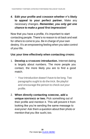#### *4.* **Edit your profile and CONSIDER whether IT'S likely to appeal to your perfect partner.** Make any necessary changes. *Remember, you only get one chance to make a good first impression!*

Now that you have a profile, it's important to start contacting people. There's no reason to sit back and wait for others to come to you. Be in charge of your own destiny. It's an empowering feeling when you take control of your life.

#### **USE your time effectively when contacting OTHERS:**

- 1. **Develop a STANDARD introduction.** Internet dating is largely about numbers. The more people you contact, the more likely you are to find a good match.
	- ❖ Yourintroduction doesn't have to be long. Two paragraphs ought to do the trick. Be playful and encourage the person to check out your profile.
- 2. **When directly contacting SOMEONE, add a unique SENTENCE or two.** Pick something out of their profile and mention it. This will prevent it from looking like you're sending the same message to everyone! Ask them a question about their photo or mention that you like sushi, too.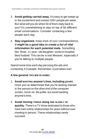- 3. **Avoid getting carried away.** It's easy to get swept up in the excitement and contact 100+ people per week. But what will you do when 50 of them reply back to you? It's overwhelming to stay on top of 50 different email conversations. Consider contacting a few people each day.
- 4. **Stay organized.** Keep track of your correspondence. I*t might be a good idea to create a list of vital information for each potential mate.* Something like: Brad, 11-year- old daughter, works in hospital, likes football. This can be a real lifesaver, especially if you're talking to multiple people.

Spend some time each day perusing the ads and contacting 3-5 people. Remember, it just takes one!

#### **A few general TIPS are in order:**

- 1. **Avoid WASTING anyone'S time, including yOURS.** Once you've determined that you're lacking interest in the person on the other end of the computer screen, move on. Be polite, but avoid wasting anyone's time.
- 2. **Avoid moving THINGS along too SLOWLY or quickly.** There's a TV show dedicated to those who have had online relationships for years without ever meeting in person. These relationships rarely succeed.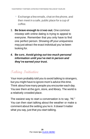- ❖ Exchange a few emails, chat on the phone, and then meet in a safe, public place for a cup of coffee.
- 3. **Be brave enough to STAND out.** One common misstep with online dating is trying to appeal to everyone. Remember that you only have to find one perfect person. Showing off your uniqueness may just attract the exact individual you've been looking for.
- *4.* **Be SAFE.** *Avoid giving out too much personal information until you've met in person and they've earned your trust.*

## <span id="page-21-0"></span>**Taking Initiative**

Your mom probably told you to avoid talking to strangers, but you might have to ignore mom's advice this time. Think about how many people you encounter each day. You see them at the gym, store, and library. The world is a relatively crowded place.

The easiest way to start a conversation is to say, *"Hi."*  You can then start talking about the weather or make a comment about the setting you're in. It doesn't matter what you say, just that you start talking.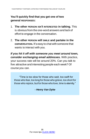#### **You'll quickly find that you get one of two general RESPONSES:**

- 1. **The other PERSON ISN't INTERESTED in talking.** This is obvious from the one-word answers and lack of effort to engage in the conversation.
- 2. **The other PERSON will SMILE and partake in the convERSATION.** It's easy to chat with someone that wants to interact with you.

*If you hit it off with someone you meet around town, consider exchanging email addresses.* With practice, your success rate will be around 20%. Can you talk to five attractive and interesting people each week? Of course you can.

"Time is too slow for those who wait, too swift for those who fear, too long for those who grieve, too short for those who rejoice, but for those who love, time is eternity."

*- Henry Van Dyke*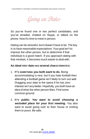

<span id="page-23-0"></span>So you've found one or two perfect candidates, and you've emailed, chatted on Skype, or talked on the phone. Now it's time to meet in person.

Dating can be stressful, but it doesn't have to be. The key is to have reasonable expectations. Your goal isn't to impress the other person, but to determine if that individual is a good match. If you approach dating with that mindset, it becomes much easier to deal with.

#### **An ideal FIRST date HAS SEveral charACTERISTICS:**

- 1. **IT'S SOMETHING you both want to do.** Being accommodating is nice, but if you hate football then attending a football game isn't likely to turn out well. Dragging your date to the opera if he has zero interest isn't any better. Hopefully, you both have an idea of what the other person likes. Find some common ground.
- 2. **IT'S public.** *You want to avoid choosing a secluded place for your first meeting.* You also want to avoid going over to their house or inviting them to yours. Be safe.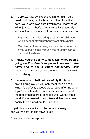- 3. **IT'S SMALL.** A fancy, expensive dinner might be a great third date, but it's less than fitting for a first date. You aren't even sure if you're well-matched or will enjoy each other's company yet. It's potentially a waste of time and money. Plus it's even more stressful!
	- ❖ Big dates can also bring a sense of obligation which neither of you probably want at this point.
	- ❖ Grabbing coffee, a beer, an ice cream cone, or even taking a stroll through the museum can all be good first dates.
- 4. **It givES you the ability to talk.** *The whole point of going on this date is to get to know each other better and to see if you're compatible.* Sitting through a movie or a concert together doesn't allow for much talking.
- 5. **It allows you to bail out gracefully if things aren't going well.** If you only meet for a glass of wine, it's perfectly acceptable to leave after the wine if you're uninterested. But it's also easy to extend the date if things are turning out well. On the other hand, if you take a dinner cruise and things are going poorly, there's nowhere to run or hide.

Hopefully, you've settled on the perfect date night and you're both looking forward to it.

#### **CONSIDER THESE dating TIPS:**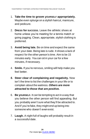- 1. **Take the time to groom yOURSELF appropriately.**  Maybe even splurge on a stylish haircut, manicure, and pedicure.
- 2. **DRESS for SUCCESS.** Leave the athletic shoes at home unless you're meeting for a tennis match or going jogging. Clean, appropriate, stylish clothing is preferred.
- 3. **Avoid being late.** Be on time and expect the same from your date. Being late is rude. It shows a lack of respect for the other person's time. Aim to be 15 minutes early. You can sit in your car for a few minutes, if necessary.
- 4. **Smile.** If you're nervous, smiling will help make you feel better.
- *5.* **Steer clear of complaining and negativity.** Now isn't the time to list the challenges in your life or to complain about the waitress. *Others are more attracted to those that are positive.*
- 6. **Be yOURSELF.** It can be tempting to act in a way that you believe the other person will find appealing. But you probably aren't sure what they'll be attracted to. And if you're fake, they might end up being into someone who doesn't evenexist.
- 7. **Laugh.** A night full of laughs will probably result in a successful date.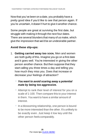Now that you've been on a date, you probably have a pretty good idea if you'd like to see that person again. If you're uncertain, it doesn't hurt to give it another chance.

Some people are great at surviving the first date, but struggle with making it through the next four dates. There are several blunders that many of us make, which give the impression that we'd be an undesirable partner.

#### **Avoid these slip-ups:**

1. **Getting carried away too SOON.** Men and women are both guilty of this. Imagine you go on a first date and it goes well. You're interested in giving the other person another chance. But then suppose that they start calling you three times a day and telling you how much they miss you. Does that increase or decrease your feelings of attraction?

#### ❖ *You want to avoid scaring away a potential mate by being too aggressive.*

- ❖ Attempt to rank their level of interest for you on a scale of 1-100. Then compare this to your interest in them. You want to have a similar amount of interest.
- ❖ In a blossoming relationship, one person is bound to be more interested than the other. It's unlikely to be exactly even. Just keep it low key until the other person feels comparably.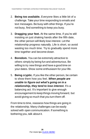- 2. **Being too available.** Everyone likes a little bit of a challenge. Take your time responding to emails and text messages. Be busy with other things. If you're not busy, find something to keep you busy.
- 3. **Dragging your feet.** At the same time, if you're still insisting on just shaking hands after the fifth date, the other person will likely lose interest. Let the relationship progress naturally. Life is short, so avoid wasting too much time. Try to gradually spend more time together and become closer.
- 4. **Boredom.** You can be extremely attractive to others simply by being fun and adventurous. Be willing to try new things and have a good time on your dates. Show some enthusiasm for your life.
- 5. **Being cryptic.** If you like the other person, be certain to show them how you feel. *When people are unable to figure out what's going on in a relationship, they tend to lose interest.* It's a balancing act. It's important to give enough encouragement to keep things moving forward, but avoid giving so much that you turn them off.

From time to time, reassess how things are going in the relationship. Many challenges can be easily solved with open communication. If something is bothering you, talk about it.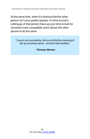At the same time, when it's obvious that the other person isn't your perfect partner, it's time to end it. Letting go of that person frees up your time to look for someone more compatible and it allows the other person to do the same.

"Love is our true destiny.We do not find the meaning of life by ourselves alone - we find it with another."

*- Thomas Merton*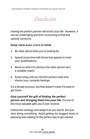

<span id="page-29-0"></span>Having the perfect partner will enrich your life. However, it can be challenging and time consuming to find that special someone.

#### **Keep THESE BASIC STEPS in mind:**

- 1. Be clear about what you're looking for.
- 2. Spend some time with those that appear to meet your qualifications.
- 3. Move on when it's obvious the other person isn't a suitable match.
- 4. Keep trying until you find the perfect mate who shares your romanticfeelings.

It's a simple process, but that doesn't mean it's easy to get there.

#### *Give yourself the gift of finding the perfect person and bringing them into your life.* It's one of the most valuable gifts you'll ever receive.

Follow this strategy and adapt it as you see fit. But just start doing something. Avoid getting too bogged down in planning and waiting for the perfect day to get started.